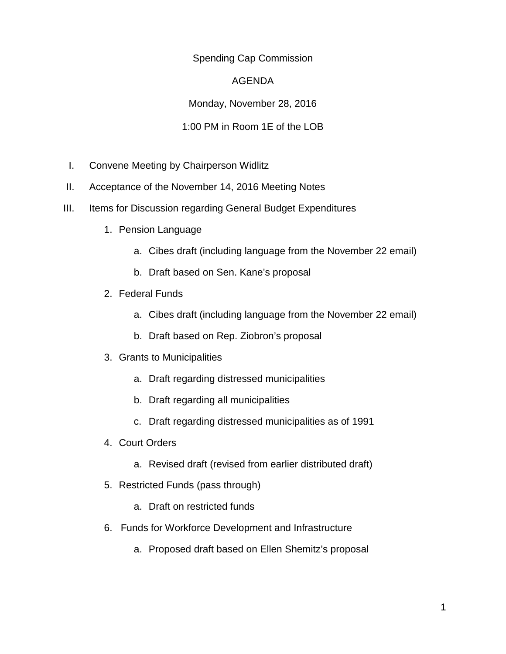## Spending Cap Commission

## AGENDA

Monday, November 28, 2016

## 1:00 PM in Room 1E of the LOB

- I. Convene Meeting by Chairperson Widlitz
- II. Acceptance of the November 14, 2016 Meeting Notes
- III. Items for Discussion regarding General Budget Expenditures
	- 1. Pension Language
		- a. Cibes draft (including language from the November 22 email)
		- b. Draft based on Sen. Kane's proposal
	- 2. Federal Funds
		- a. Cibes draft (including language from the November 22 email)
		- b. Draft based on Rep. Ziobron's proposal
	- 3. Grants to Municipalities
		- a. Draft regarding distressed municipalities
		- b. Draft regarding all municipalities
		- c. Draft regarding distressed municipalities as of 1991
	- 4. Court Orders
		- a. Revised draft (revised from earlier distributed draft)
	- 5. Restricted Funds (pass through)
		- a. Draft on restricted funds
	- 6. Funds for Workforce Development and Infrastructure
		- a. Proposed draft based on Ellen Shemitz's proposal